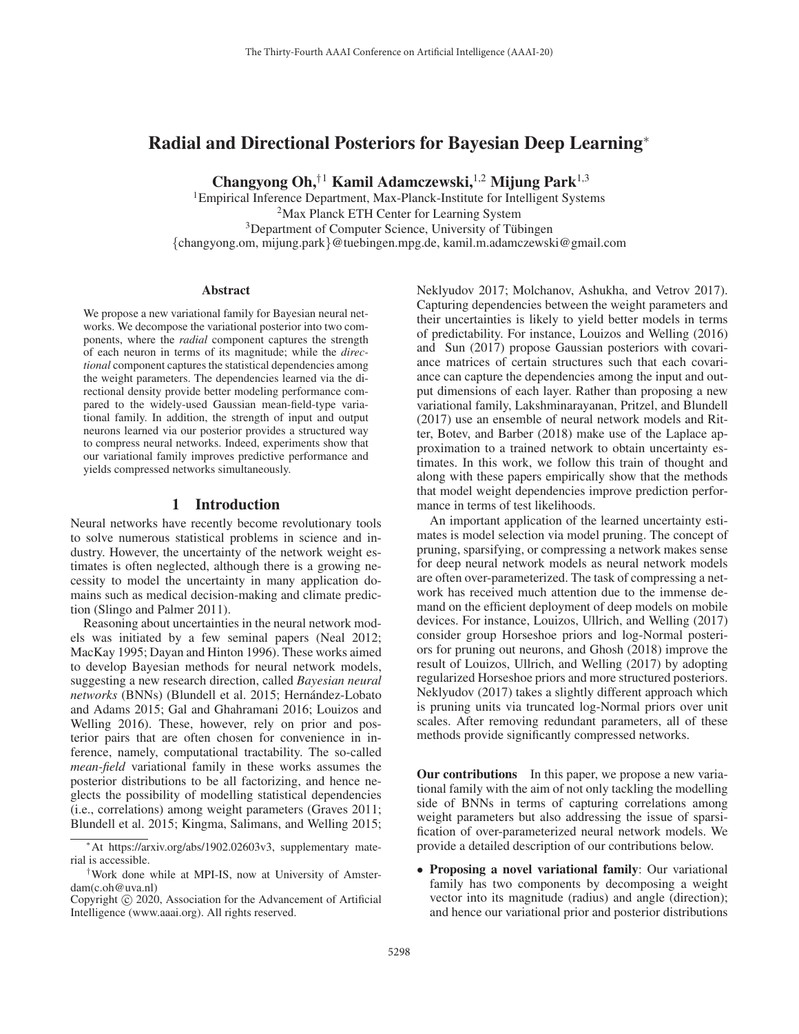# Radial and Directional Posteriors for Bayesian Deep Learning<sup>∗</sup>

Changyong Oh,<sup>†1</sup> Kamil Adamczewski,<sup>1,2</sup> Mijung Park<sup>1,3</sup>

<sup>1</sup>Empirical Inference Department, Max-Planck-Institute for Intelligent Systems <sup>2</sup>Max Planck ETH Center for Learning System <sup>3</sup>Department of Computer Science, University of Tübingen {changyong.om, mijung.park}@tuebingen.mpg.de, kamil.m.adamczewski@gmail.com

#### **Abstract**

We propose a new variational family for Bayesian neural networks. We decompose the variational posterior into two components, where the *radial* component captures the strength of each neuron in terms of its magnitude; while the *directional* component captures the statistical dependencies among the weight parameters. The dependencies learned via the directional density provide better modeling performance compared to the widely-used Gaussian mean-field-type variational family. In addition, the strength of input and output neurons learned via our posterior provides a structured way to compress neural networks. Indeed, experiments show that our variational family improves predictive performance and yields compressed networks simultaneously.

## 1 Introduction

Neural networks have recently become revolutionary tools to solve numerous statistical problems in science and industry. However, the uncertainty of the network weight estimates is often neglected, although there is a growing necessity to model the uncertainty in many application domains such as medical decision-making and climate prediction (Slingo and Palmer 2011).

Reasoning about uncertainties in the neural network models was initiated by a few seminal papers (Neal 2012; MacKay 1995; Dayan and Hinton 1996). These works aimed to develop Bayesian methods for neural network models, suggesting a new research direction, called *Bayesian neural networks* (BNNs) (Blundell et al. 2015; Hernández-Lobato and Adams 2015; Gal and Ghahramani 2016; Louizos and Welling 2016). These, however, rely on prior and posterior pairs that are often chosen for convenience in inference, namely, computational tractability. The so-called *mean-field* variational family in these works assumes the posterior distributions to be all factorizing, and hence neglects the possibility of modelling statistical dependencies (i.e., correlations) among weight parameters (Graves 2011; Blundell et al. 2015; Kingma, Salimans, and Welling 2015;

Neklyudov 2017; Molchanov, Ashukha, and Vetrov 2017). Capturing dependencies between the weight parameters and their uncertainties is likely to yield better models in terms of predictability. For instance, Louizos and Welling (2016) and Sun (2017) propose Gaussian posteriors with covariance matrices of certain structures such that each covariance can capture the dependencies among the input and output dimensions of each layer. Rather than proposing a new variational family, Lakshminarayanan, Pritzel, and Blundell (2017) use an ensemble of neural network models and Ritter, Botev, and Barber (2018) make use of the Laplace approximation to a trained network to obtain uncertainty estimates. In this work, we follow this train of thought and along with these papers empirically show that the methods that model weight dependencies improve prediction performance in terms of test likelihoods.

An important application of the learned uncertainty estimates is model selection via model pruning. The concept of pruning, sparsifying, or compressing a network makes sense for deep neural network models as neural network models are often over-parameterized. The task of compressing a network has received much attention due to the immense demand on the efficient deployment of deep models on mobile devices. For instance, Louizos, Ullrich, and Welling (2017) consider group Horseshoe priors and log-Normal posteriors for pruning out neurons, and Ghosh (2018) improve the result of Louizos, Ullrich, and Welling (2017) by adopting regularized Horseshoe priors and more structured posteriors. Neklyudov (2017) takes a slightly different approach which is pruning units via truncated log-Normal priors over unit scales. After removing redundant parameters, all of these methods provide significantly compressed networks.

Our contributions In this paper, we propose a new variational family with the aim of not only tackling the modelling side of BNNs in terms of capturing correlations among weight parameters but also addressing the issue of sparsification of over-parameterized neural network models. We provide a detailed description of our contributions below.

• Proposing a novel variational family: Our variational family has two components by decomposing a weight vector into its magnitude (radius) and angle (direction); and hence our variational prior and posterior distributions

<sup>∗</sup>At https://arxiv.org/abs/1902.02603v3, supplementary material is accessible.

<sup>†</sup>Work done while at MPI-IS, now at University of Amsterdam(c.oh@uva.nl)

Copyright  $\odot$  2020, Association for the Advancement of Artificial Intelligence (www.aaai.org). All rights reserved.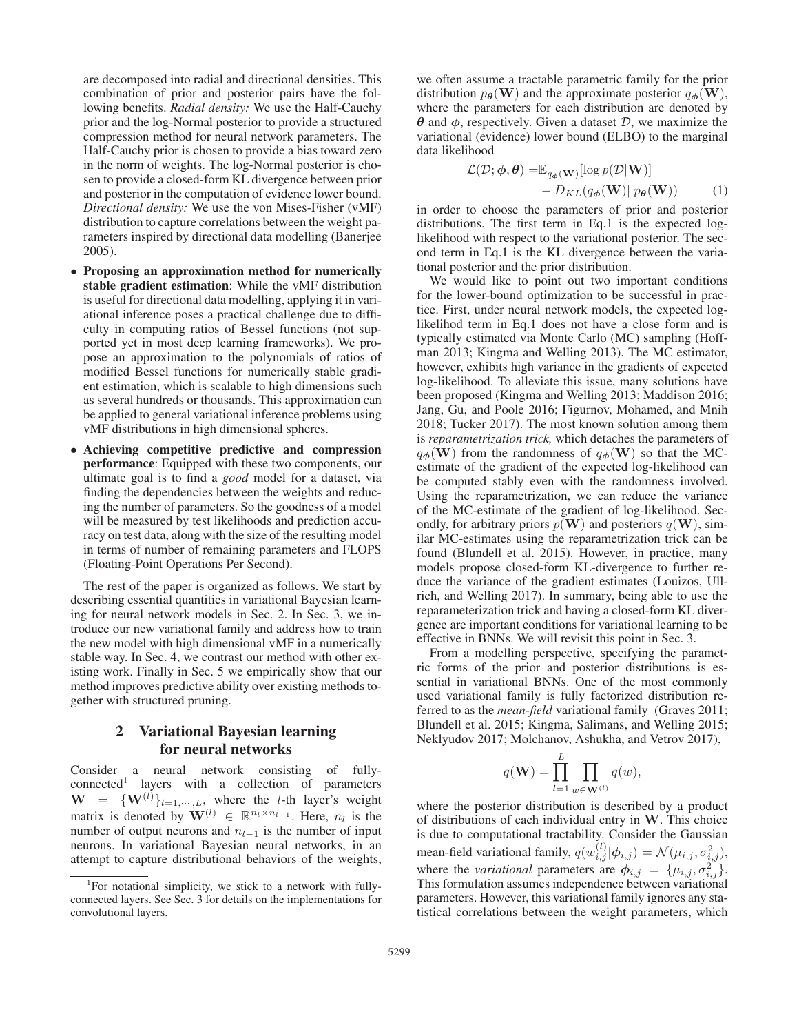are decomposed into radial and directional densities. This combination of prior and posterior pairs have the following benefits. *Radial density:* We use the Half-Cauchy prior and the log-Normal posterior to provide a structured compression method for neural network parameters. The Half-Cauchy prior is chosen to provide a bias toward zero in the norm of weights. The log-Normal posterior is chosen to provide a closed-form KL divergence between prior and posterior in the computation of evidence lower bound. *Directional density:* We use the von Mises-Fisher (vMF) distribution to capture correlations between the weight parameters inspired by directional data modelling (Banerjee 2005).

- Proposing an approximation method for numerically stable gradient estimation: While the vMF distribution is useful for directional data modelling, applying it in variational inference poses a practical challenge due to difficulty in computing ratios of Bessel functions (not supported yet in most deep learning frameworks). We propose an approximation to the polynomials of ratios of modified Bessel functions for numerically stable gradient estimation, which is scalable to high dimensions such as several hundreds or thousands. This approximation can be applied to general variational inference problems using vMF distributions in high dimensional spheres.
- Achieving competitive predictive and compression performance: Equipped with these two components, our ultimate goal is to find a *good* model for a dataset, via finding the dependencies between the weights and reducing the number of parameters. So the goodness of a model will be measured by test likelihoods and prediction accuracy on test data, along with the size of the resulting model in terms of number of remaining parameters and FLOPS (Floating-Point Operations Per Second).

The rest of the paper is organized as follows. We start by describing essential quantities in variational Bayesian learning for neural network models in Sec. 2. In Sec. 3, we introduce our new variational family and address how to train the new model with high dimensional vMF in a numerically stable way. In Sec. 4, we contrast our method with other existing work. Finally in Sec. 5 we empirically show that our method improves predictive ability over existing methods together with structured pruning.

## 2 Variational Bayesian learning for neural networks

Consider a neural network consisting of fullyconnected1 layers with a collection of parameters  $\mathbf{W} = \{ \mathbf{W}^{(l)} \}_{l=1,\cdots,L}$ , where the *l*-th layer's weight matrix is denoted by  $\mathbf{W}^{(l)} \in \mathbb{R}^{n_l \times n_{l-1}}$ . Here *n*<sub>i</sub> is the matrix is denoted by  $\mathbf{W}^{(l)} \in \mathbb{R}^{n_l \times n_{l-1}}$ . Here,  $n_l$  is the number of output neurons and  $n_{l-1}$  is the number of input neurons. In variational Bayesian neural networks, in an attempt to capture distributional behaviors of the weights,

we often assume a tractable parametric family for the prior distribution  $p_{\theta}(\mathbf{W})$  and the approximate posterior  $q_{\phi}(\mathbf{W})$ , where the parameters for each distribution are denoted by *θ* and *φ*, respectively. Given a dataset D, we maximize the variational (evidence) lower bound (ELBO) to the marginal data likelihood

$$
\mathcal{L}(\mathcal{D}; \phi, \theta) = \mathbb{E}_{q_{\phi}(\mathbf{W})}[\log p(\mathcal{D}|\mathbf{W})] - D_{KL}(q_{\phi}(\mathbf{W})||p_{\theta}(\mathbf{W})) \tag{1}
$$
  
in order to choose the parameters of prior and posterior

distributions. The first term in Eq.1 is the expected loglikelihood with respect to the variational posterior. The second term in Eq.1 is the KL divergence between the variational posterior and the prior distribution.

We would like to point out two important conditions for the lower-bound optimization to be successful in practice. First, under neural network models, the expected loglikelihod term in Eq.1 does not have a close form and is typically estimated via Monte Carlo (MC) sampling (Hoffman 2013; Kingma and Welling 2013). The MC estimator, however, exhibits high variance in the gradients of expected log-likelihood. To alleviate this issue, many solutions have been proposed (Kingma and Welling 2013; Maddison 2016; Jang, Gu, and Poole 2016; Figurnov, Mohamed, and Mnih 2018; Tucker 2017). The most known solution among them is *reparametrization trick,* which detaches the parameters of  $q_{\phi}(\mathbf{W})$  from the randomness of  $q_{\phi}(\mathbf{W})$  so that the MCestimate of the gradient of the expected log-likelihood can be computed stably even with the randomness involved. Using the reparametrization, we can reduce the variance of the MC-estimate of the gradient of log-likelihood. Secondly, for arbitrary priors  $p(\mathbf{W})$  and posteriors  $q(\mathbf{W})$ , similar MC-estimates using the reparametrization trick can be found (Blundell et al. 2015). However, in practice, many models propose closed-form KL-divergence to further reduce the variance of the gradient estimates (Louizos, Ullrich, and Welling 2017). In summary, being able to use the reparameterization trick and having a closed-form KL divergence are important conditions for variational learning to be effective in BNNs. We will revisit this point in Sec. 3.

From a modelling perspective, specifying the parametric forms of the prior and posterior distributions is essential in variational BNNs. One of the most commonly used variational family is fully factorized distribution referred to as the *mean-field* variational family (Graves 2011; Blundell et al. 2015; Kingma, Salimans, and Welling 2015; Neklyudov 2017; Molchanov, Ashukha, and Vetrov 2017),

$$
q(\mathbf{W}) = \prod_{l=1}^{L} \prod_{w \in \mathbf{W}^{(l)}} q(w),
$$

where the posterior distribution is described by a product of distributions of each individual entry in **W**. This choice is due to computational tractability. Consider the Gaussian mean-field variational family,  $q(w_{i,j}^{(l)} | \phi_{i,j}) = \mathcal{N}(\mu_{i,j}, \sigma_{i,j}^2)$ , where the *variational* parameters are  $\phi_{i,j} = {\mu_{i,j}, \sigma_{i,j}^2}$ .<br>This formulation assumes independence between variational This formulation assumes independence between variational parameters. However, this variational family ignores any statistical correlations between the weight parameters, which

<sup>&</sup>lt;sup>1</sup>For notational simplicity, we stick to a network with fullyconnected layers. See Sec. 3 for details on the implementations for convolutional layers.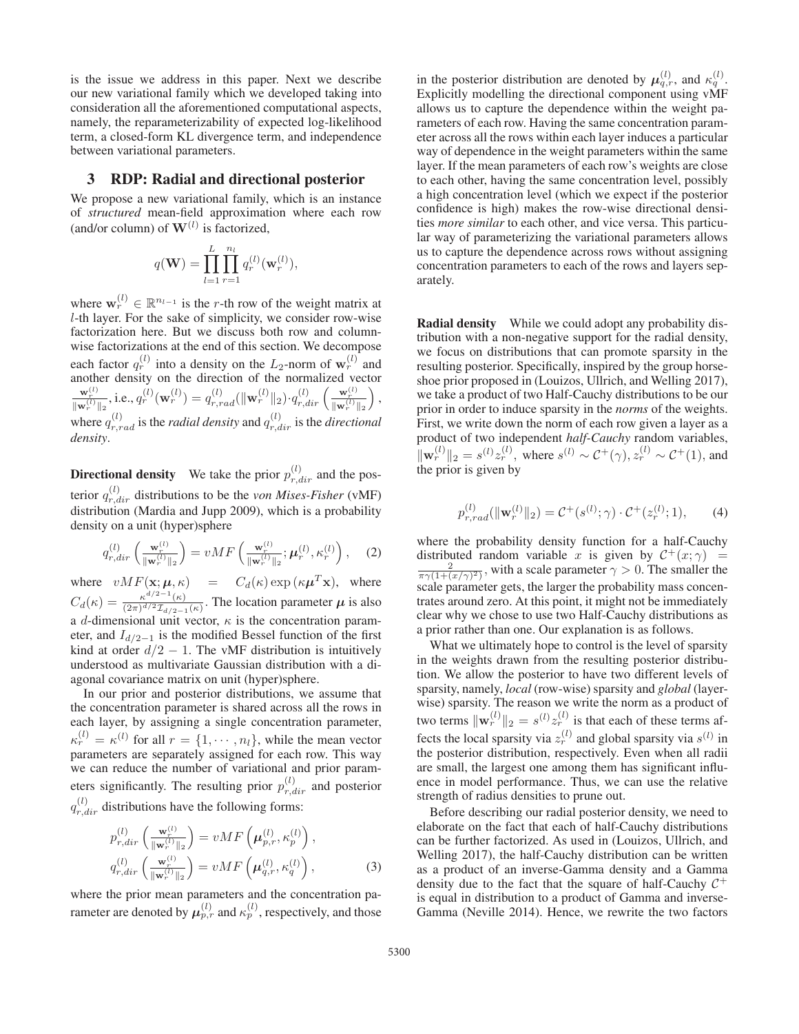is the issue we address in this paper. Next we describe our new variational family which we developed taking into consideration all the aforementioned computational aspects, namely, the reparameterizability of expected log-likelihood term, a closed-form KL divergence term, and independence between variational parameters.

## 3 RDP: Radial and directional posterior

We propose a new variational family, which is an instance of *structured* mean-field approximation where each row (and/or column) of  $W^{(l)}$  is factorized,

$$
q(\mathbf{W}) = \prod_{l=1}^{L} \prod_{r=1}^{n_l} q_r^{(l)}(\mathbf{w}_r^{(l)}),
$$

where  $\mathbf{w}_r^{(l)} \in \mathbb{R}^{n_{l-1}}$  is the *r*-th row of the weight matrix at l-th layer. For the sake of simplicity, we consider row-wise factorization here. But we discuss both row and columnwise factorizations at the end of this section. We decompose each factor  $q_r^{(l)}$  into a density on the  $L_2$ -norm of  $\mathbf{w}_r^{(l)}$  and another density on the direction of the normalized vector  $\frac{\mathbf{w}_r^{(l)}}{\|\mathbf{w}_r^{(l)}\|_2}, \text{i.e., } q_r^{(l)}(\mathbf{w}_r^{(l)}) = q_{r,rad}^{(l)}(\|\mathbf{w}_r^{(l)}\|_2) \cdot q_{r,dir}^{(l)}\left(\frac{\mathbf{w}_r^{(l)}}{\|\mathbf{w}_r^{(l)}\|_2}\right)$  $\bigg)$ , where  $q_{r,rad}^{(l)}$  is the *radial density* and  $q_{r,dir}^{(l)}$  is the *directional density*.

**Directional density** We take the prior  $p_{r,dir}^{(l)}$  and the posterior  $q_{r,dir}^{(l)}$  distributions to be the *von Mises-Fisher* (vMF) distribution (Mardia and Jupp 2009), which is a probability density on a unit (hyper)sphere

$$
q_{r,dir}^{(l)}\left(\frac{\mathbf{w}_r^{(l)}}{\|\mathbf{w}_r^{(l)}\|_2}\right) = vMF\left(\frac{\mathbf{w}_r^{(l)}}{\|\mathbf{w}_r^{(l)}\|_2};\boldsymbol{\mu}_r^{(l)},\kappa_r^{(l)}\right),\quad(2)
$$

where  $vMF(\mathbf{x}; \boldsymbol{\mu}, \kappa) = C_d(\kappa) \exp(\kappa \boldsymbol{\mu}^T \mathbf{x}),$  where  $C_d(\kappa) = \frac{\kappa^{d/2-1}(\kappa)}{(2\pi)^{d/2} \mathcal{I}_{d/2-1}(\kappa)}$ . The location parameter  $\mu$  is also a d-dimensional unit vector,  $\kappa$  is the concentration parameter, and  $I_{d/2-1}$  is the modified Bessel function of the first kind at order  $d/2 - 1$ . The vMF distribution is intuitively understood as multivariate Gaussian distribution with a diagonal covariance matrix on unit (hyper)sphere.

In our prior and posterior distributions, we assume that the concentration parameter is shared across all the rows in each layer, by assigning a single concentration parameter,  $\kappa_r^{(l)} = \kappa^{(l)}$  for all  $r = \{1, \dots, n_l\}$ , while the mean vector parameters are separately assigned for each row. This way parameters are separately assigned for each row. This way we can reduce the number of variational and prior parameters significantly. The resulting prior  $p_{r,dir}^{(l)}$  and posterior  $q_{r,dir}^{(l)}$  distributions have the following forms:

$$
p_{r,dir}^{(l)}\left(\frac{\mathbf{w}_r^{(l)}}{\|\mathbf{w}_r^{(l)}\|_2}\right) = vMF\left(\boldsymbol{\mu}_{p,r}^{(l)}, \kappa_p^{(l)}\right),
$$
  
\n
$$
q_{r,dir}^{(l)}\left(\frac{\mathbf{w}_r^{(l)}}{\|\mathbf{w}_r^{(l)}\|_2}\right) = vMF\left(\boldsymbol{\mu}_{q,r}^{(l)}, \kappa_q^{(l)}\right),
$$
\n(3)

where the prior mean parameters and the concentration parameter are denoted by  $\mu_{p,r}^{(l)}$  and  $\kappa_p^{(l)}$ , respectively, and those

in the posterior distribution are denoted by  $\mu_{q,r}^{(l)}$ , and  $\kappa_q^{(l)}$ . Explicitly modelling the directional component using vMF allows us to capture the dependence within the weight parameters of each row. Having the same concentration parameter across all the rows within each layer induces a particular way of dependence in the weight parameters within the same layer. If the mean parameters of each row's weights are close to each other, having the same concentration level, possibly a high concentration level (which we expect if the posterior confidence is high) makes the row-wise directional densities *more similar* to each other, and vice versa. This particular way of parameterizing the variational parameters allows us to capture the dependence across rows without assigning concentration parameters to each of the rows and layers separately.

Radial density While we could adopt any probability distribution with a non-negative support for the radial density, we focus on distributions that can promote sparsity in the resulting posterior. Specifically, inspired by the group horseshoe prior proposed in (Louizos, Ullrich, and Welling 2017), we take a product of two Half-Cauchy distributions to be our prior in order to induce sparsity in the *norms* of the weights. First, we write down the norm of each row given a layer as a product of two independent *half-Cauchy* random variables,  $\|\mathbf{w}_r^{(l)}\|_2 = s^{(l)} z_r^{(l)}$ , where  $s^{(l)} \sim C^+(\gamma)$ ,  $z_r^{(l)} \sim C^+(1)$ , and the prior is given by the prior is given by

$$
p_{r,rad}^{(l)}(||\mathbf{w}_r^{(l)}||_2) = \mathcal{C}^+(s^{(l)}; \gamma) \cdot \mathcal{C}^+(z_r^{(l)}; 1), \qquad (4)
$$

where the probability density function for a half-Cauchy distributed random variable x is given by  $C^+(x; \gamma) =$ <br> $\frac{2}{x}$  with a scale parameter  $\gamma > 0$ . The smaller the  $rac{2}{\pi \gamma (1 + (x/\gamma)^2)}$ , with a scale parameter  $\gamma > 0$ . The smaller the scale parameter gets, the larger the probability mass concentrates around zero. At this point, it might not be immediately clear why we chose to use two Half-Cauchy distributions as a prior rather than one. Our explanation is as follows.

What we ultimately hope to control is the level of sparsity in the weights drawn from the resulting posterior distribution. We allow the posterior to have two different levels of sparsity, namely, *local* (row-wise) sparsity and *global* (layerwise) sparsity. The reason we write the norm as a product of two terms  $\|\mathbf{w}_r^{(l)}\|_2 = s^{(l)} z_r^{(l)}$  is that each of these terms affects the local sparsity via  $z_r^{(l)}$  and global sparsity via  $s^{(l)}$  in the posterior distribution, respectively. Even when all radii are small, the largest one among them has significant influence in model performance. Thus, we can use the relative strength of radius densities to prune out.

Before describing our radial posterior density, we need to elaborate on the fact that each of half-Cauchy distributions can be further factorized. As used in (Louizos, Ullrich, and Welling 2017), the half-Cauchy distribution can be written as a product of an inverse-Gamma density and a Gamma density due to the fact that the square of half-Cauchy  $C^+$ is equal in distribution to a product of Gamma and inverse-Gamma (Neville 2014). Hence, we rewrite the two factors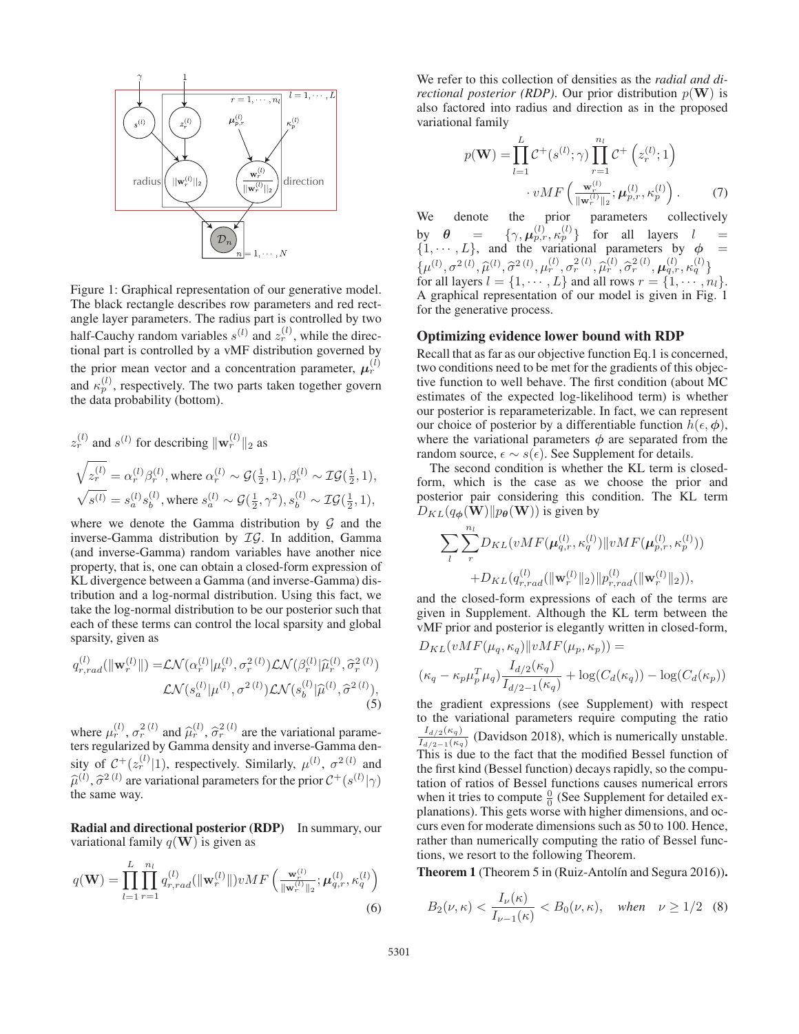

Figure 1: Graphical representation of our generative model. The black rectangle describes row parameters and red rectangle layer parameters. The radius part is controlled by two half-Cauchy random variables  $s^{(l)}$  and  $z_r^{(l)}$ , while the directional part is controlled by a vMF distribution governed by the prior mean vector and a concentration parameter,  $\mu_r^{(l)}$ and  $\kappa_p^{(l)}$ , respectively. The two parts taken together govern the data probability (bottom).

$$
z_r^{(l)} \text{ and } s^{(l)} \text{ for describing } ||\mathbf{w}_r^{(l)}||_2 \text{ as}
$$
  

$$
\sqrt{z_r^{(l)}} = \alpha_r^{(l)} \beta_r^{(l)}, \text{ where } \alpha_r^{(l)} \sim \mathcal{G}(\frac{1}{2}, 1), \beta_r^{(l)} \sim \mathcal{IG}(\frac{1}{2}, 1),
$$
  

$$
\sqrt{s^{(l)}} = s_a^{(l)} s_b^{(l)}, \text{ where } s_a^{(l)} \sim \mathcal{G}(\frac{1}{2}, \gamma^2), s_b^{(l)} \sim \mathcal{IG}(\frac{1}{2}, 1),
$$

where we denote the Gamma distribution by  $G$  and the inverse-Gamma distribution by IG. In addition, Gamma (and inverse-Gamma) random variables have another nice property, that is, one can obtain a closed-form expression of KL divergence between a Gamma (and inverse-Gamma) distribution and a log-normal distribution. Using this fact, we take the log-normal distribution to be our posterior such that each of these terms can control the local sparsity and global sparsity, given as

$$
q_{r,rad}^{(l)}(||\mathbf{w}_r^{(l)}||) = \mathcal{LN}(\alpha_r^{(l)}|\mu_r^{(l)}, \sigma_r^{2(l)})\mathcal{LN}(\beta_r^{(l)}|\widehat{\mu}_r^{(l)}, \widehat{\sigma}_r^{2(l)})
$$

$$
\mathcal{LN}(s_a^{(l)}|\mu^{(l)}, \sigma^{2(l)})\mathcal{LN}(s_b^{(l)}|\widehat{\mu}^{(l)}, \widehat{\sigma}^{2(l)}),
$$

$$
(5)
$$

where  $\mu_r^{(l)}$ ,  $\sigma_r^{2}(l)$  and  $\hat{\mu}_r^{(l)}$ ,  $\hat{\sigma}_r^{2}(l)$  are the variational parameters regularized by Gamma density and inverse-Gamma density of  $C^+(z_r^{(l)}|1)$ , respectively. Similarly,  $\mu^{(l)}$ ,  $\sigma^2^{(l)}$  and  $\widehat{\sigma}^{(l)}$   $\widehat{\sigma}^2^{(l)}$  are variational parameters for the prior  $C^+(e^{(l)}|\alpha)$  $\hat{\mu}^{(l)}$ ,  $\hat{\sigma}^{2 (l)}$  are variational parameters for the prior  $C^+(s^{(l)}|\gamma)$ <br>the same way the same way.

Radial and directional posterior (RDP) In summary, our variational family  $q(\mathbf{W})$  is given as

$$
q(\mathbf{W}) = \prod_{l=1}^{L} \prod_{r=1}^{n_l} q_{r,rad}^{(l)}(||\mathbf{w}_r^{(l)}||) vMF\left(\frac{\mathbf{w}_r^{(l)}}{||\mathbf{w}_r^{(l)}||_2}; \boldsymbol{\mu}_{q,r}^{(l)}, \kappa_q^{(l)}\right)
$$
\n(6)

We refer to this collection of densities as the *radial and directional posterior (RDP)*. Our prior distribution  $p(\mathbf{W})$  is also factored into radius and direction as in the proposed variational family

$$
p(\mathbf{W}) = \prod_{l=1}^{L} C^{+}(s^{(l)}; \gamma) \prod_{r=1}^{n_l} C^{+}(z_r^{(l)}; 1)
$$

$$
\cdot vMF\left(\frac{\mathbf{w}_r^{(l)}}{\|\mathbf{w}_r^{(l)}\|_2}; \boldsymbol{\mu}_{p,r}^{(l)}, \kappa_p^{(l)}\right). \tag{7}
$$

We denote the prior parameters collectively by  $\theta = {\gamma, \mu_{p,r}^{(l)}, \kappa_p^{(l)}}$  for all layers  $l =$ <br>  $\{1 \cdots L\}$  and the variational parameters by  $\phi =$  $\{1, \dots, L\}$ , and the variational parameters by  $\phi$  =  $\{1, \dots, L\}$ , and the variational parameters by  $\phi$  =  $\{\mu^{(l)}, \sigma^{2}(\mu), \widehat{\mu}^{(l)}, \widehat{\sigma}^{2}^{(l)}, \mu_r^{(l)}, \sigma_r^{2}^{(l)}, \widehat{\mu}_r^{(l)}, \widehat{\sigma}_r^{2}^{(l)}, \mu_{q,r}^{(l)}, \kappa_q^{(l)}\}$ for all layers  $l = \{1, \dots, L\}$  and all rows  $r = \{1, \dots, n_l\}$ .<br>A graphical representation of our model is given in Fig. 1. A graphical representation of our model is given in Fig. 1 for the generative process.

## Optimizing evidence lower bound with RDP

Recall that as far as our objective function Eq.1 is concerned, two conditions need to be met for the gradients of this objective function to well behave. The first condition (about MC estimates of the expected log-likelihood term) is whether our posterior is reparameterizable. In fact, we can represent our choice of posterior by a differentiable function  $h(\epsilon, \phi)$ , where the variational parameters  $\phi$  are separated from the random source,  $\epsilon \sim s(\epsilon)$ . See Supplement for details.

The second condition is whether the KL term is closedform, which is the case as we choose the prior and posterior pair considering this condition. The KL term  $D_{KL}(q_{\boldsymbol{\phi}}(\mathbf{W})||p_{\boldsymbol{\theta}}(\mathbf{W}))$  is given by

$$
\sum_{l} \sum_{r}^{n_l} D_{KL}(vMF(\boldsymbol{\mu}_{q,r}^{(l)}, \kappa_q^{(l)}) \| vMF(\boldsymbol{\mu}_{p,r}^{(l)}, \kappa_p^{(l)})) \\ + D_{KL}(q_{r,rad}^{(l)}(\|\mathbf{w}_r^{(l)}\|_2) \| p_{r,rad}^{(l)}(\|\mathbf{w}_r^{(l)}\|_2)),
$$

and the closed-form expressions of each of the terms are given in Supplement. Although the KL term between the vMF prior and posterior is elegantly written in closed-form,

$$
D_{KL}(vMF(\mu_q, \kappa_q) || vMF(\mu_p, \kappa_p)) =
$$
  

$$
(\kappa_q - \kappa_p \mu_p^T \mu_q) \frac{I_{d/2}(\kappa_q)}{I_{d/2-1}(\kappa_q)} + \log(C_d(\kappa_q)) - \log(C_d(\kappa_p))
$$
  
the gradient expressions (see Supplement) with respect

to the variational parameters require computing the ratio  $\frac{I_{d/2}(\kappa_q)}{I_{d/2-1}(\kappa_q)}$  (Davidson 2018), which is numerically unstable. This is due to the fact that the modified Bessel function of the first kind (Bessel function) decays rapidly, so the computation of ratios of Bessel functions causes numerical errors when it tries to compute  $\frac{0}{0}$  (See Supplement for detailed explanations). This gets worse with higher dimensions, and occurs even for moderate dimensions such as 50 to 100. Hence, rather than numerically computing the ratio of Bessel functions, we resort to the following Theorem.

Theorem 1 (Theorem 5 in (Ruiz-Antolín and Segura 2016)).

$$
B_2(\nu,\kappa) < \frac{I_\nu(\kappa)}{I_{\nu-1}(\kappa)} < B_0(\nu,\kappa), \quad \text{when} \quad \nu \ge 1/2 \quad (8)
$$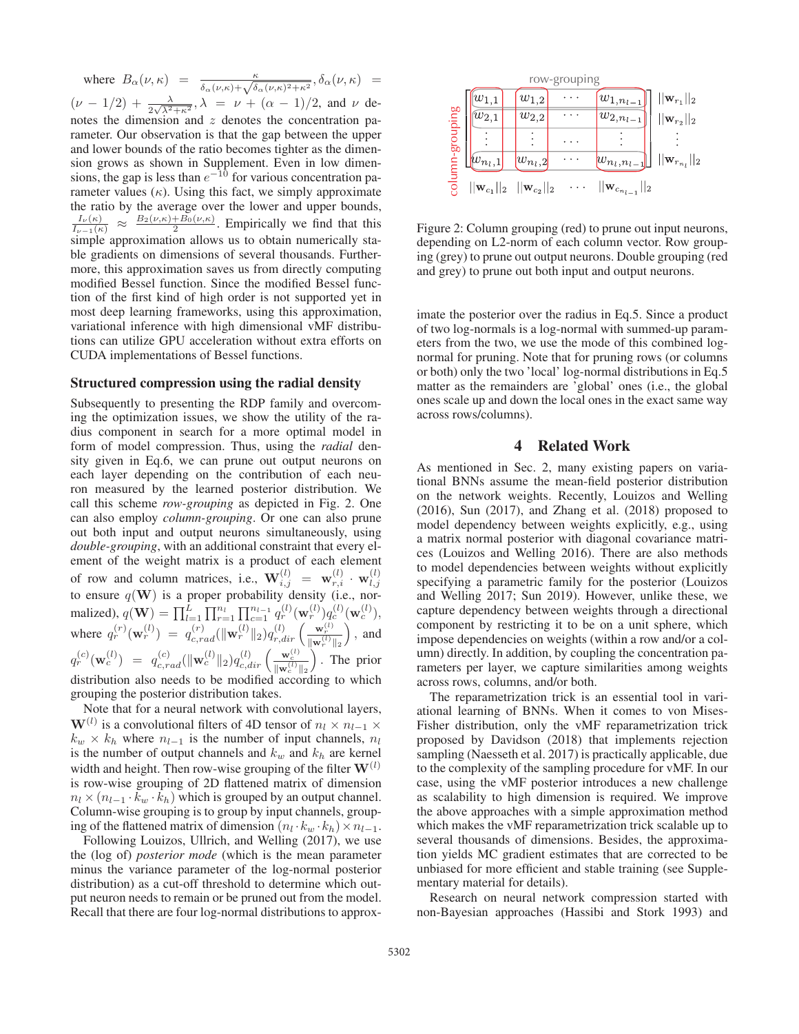where  $B_{\alpha}(\nu,\kappa) = \frac{\kappa}{\delta_{\alpha}(\nu,\kappa)+\sqrt{\delta_{\alpha}(\nu,\kappa)^2+\kappa^2}}, \delta_{\alpha}(\nu,\kappa) =$  $(\nu - 1/2) + \frac{\lambda}{2\sqrt{\lambda^2 + \kappa^2}}$ ,  $\lambda = \nu + (\alpha - 1)/2$ , and  $\nu$  denotes the dimension and  $z$  denotes the concentration parameter. Our observation is that the gap between the upper and lower bounds of the ratio becomes tighter as the dimension grows as shown in Supplement. Even in low dimensions, the gap is less than  $e^{-10}$  for various concentration parameter values  $(\kappa)$ . Using this fact, we simply approximate the ratio by the average over the lower and upper bounds,  $\frac{I_{\nu}(\kappa)}{I_{\nu-1}(\kappa)} \approx \frac{B_2(\nu,\kappa)+B_0(\nu,\kappa)}{2}$ . Empirically we find that this simple approximation allows us to obtain numerically stable gradients on dimensions of several thousands. Furthermore, this approximation saves us from directly computing modified Bessel function. Since the modified Bessel function of the first kind of high order is not supported yet in most deep learning frameworks, using this approximation, variational inference with high dimensional vMF distributions can utilize GPU acceleration without extra efforts on CUDA implementations of Bessel functions.

#### Structured compression using the radial density

Subsequently to presenting the RDP family and overcoming the optimization issues, we show the utility of the radius component in search for a more optimal model in form of model compression. Thus, using the *radial* density given in Eq.6, we can prune out output neurons on each layer depending on the contribution of each neuron measured by the learned posterior distribution. We call this scheme *row-grouping* as depicted in Fig. 2. One can also employ *column-grouping*. Or one can also prune out both input and output neurons simultaneously, using *double-grouping*, with an additional constraint that every element of the weight matrix is a product of each element of row and column matrices, i.e.,  $\mathbf{W}_{i,j}^{(l)} = \mathbf{w}_{r,i}^{(l)} \cdot \mathbf{w}_{l,j}^{(l)}$ <br>to ensure  $q(\mathbf{W})$  is a proper probability density (i.e., nor-<br>mating the  $\mathbf{W}_{l}^{(l)}$  of  $\mathbf{W}_{l}^{(l)}$  of  $\mathbf{W}_{l}^{(l)}$  of  $\mathbf{W}_{l}^{(l)}$ malized),  $q(\mathbf{W}) = \prod_{l=1}^{L} \prod_{r=1}^{n_l} \prod_{c=1}^{n_{l-1}} q_r^{(l)}(\mathbf{w}_r^{(l)}) q_c^{(l)}(\mathbf{w}_c^{(l)}),$ where  $q_r^{(r)}(\mathbf{w}_r^{(l)}) = q_{c,rad}^{(r)}(\|\mathbf{w}_r^{(l)}\|_2)q_{r,dir}^{(l)}\left(\frac{\mathbf{w}_r^{(l)}}{\|\mathbf{w}_r^{(l)}\|_2}\right)$  $\Big)$ , and  $q_r^{(c)}(\mathbf{w}_c^{(l)}) = q_{c,rad}^{(c)}(\|\mathbf{w}_c^{(l)}\|_2)q_{c,dir}^{(l)}\left(\frac{\mathbf{w}_c^{(l)}}{\|\mathbf{w}_c^{(l)}\|_2}\right)$  $\sum_{n=1}^{\infty}$  The prior distribution also needs to be modified according to which grouping the posterior distribution takes.

Note that for a neural network with convolutional layers, **W**(l) is a convolutional filters of 4D tensor of  $n_l \times n_{l-1} \times$  $k_w \times k_h$  where  $n_{l-1}$  is the number of input channels,  $n_l$ is the number of output channels and  $k_w$  and  $k_h$  are kernel width and height. Then row-wise grouping of the filter  $W^{(l)}$ is row-wise grouping of 2D flattened matrix of dimension  $n_l \times (n_{l-1} \cdot k_w \cdot k_h)$  which is grouped by an output channel. Column-wise grouping is to group by input channels, grouping of the flattened matrix of dimension  $(n_l \cdot k_w \cdot k_h) \times n_{l-1}$ .

Following Louizos, Ullrich, and Welling (2017), we use the (log of) *posterior mode* (which is the mean parameter minus the variance parameter of the log-normal posterior distribution) as a cut-off threshold to determine which output neuron needs to remain or be pruned out from the model. Recall that there are four log-normal distributions to approx-



Figure 2: Column grouping (red) to prune out input neurons, depending on L2-norm of each column vector. Row grouping (grey) to prune out output neurons. Double grouping (red and grey) to prune out both input and output neurons.

imate the posterior over the radius in Eq.5. Since a product of two log-normals is a log-normal with summed-up parameters from the two, we use the mode of this combined lognormal for pruning. Note that for pruning rows (or columns or both) only the two 'local' log-normal distributions in Eq.5 matter as the remainders are 'global' ones (i.e., the global ones scale up and down the local ones in the exact same way across rows/columns).

## 4 Related Work

As mentioned in Sec. 2, many existing papers on variational BNNs assume the mean-field posterior distribution on the network weights. Recently, Louizos and Welling (2016), Sun (2017), and Zhang et al. (2018) proposed to model dependency between weights explicitly, e.g., using a matrix normal posterior with diagonal covariance matrices (Louizos and Welling 2016). There are also methods to model dependencies between weights without explicitly specifying a parametric family for the posterior (Louizos and Welling 2017; Sun 2019). However, unlike these, we capture dependency between weights through a directional component by restricting it to be on a unit sphere, which impose dependencies on weights (within a row and/or a column) directly. In addition, by coupling the concentration parameters per layer, we capture similarities among weights across rows, columns, and/or both.

The reparametrization trick is an essential tool in variational learning of BNNs. When it comes to von Mises-Fisher distribution, only the vMF reparametrization trick proposed by Davidson (2018) that implements rejection sampling (Naesseth et al. 2017) is practically applicable, due to the complexity of the sampling procedure for vMF. In our case, using the vMF posterior introduces a new challenge as scalability to high dimension is required. We improve the above approaches with a simple approximation method which makes the vMF reparametrization trick scalable up to several thousands of dimensions. Besides, the approximation yields MC gradient estimates that are corrected to be unbiased for more efficient and stable training (see Supplementary material for details).

Research on neural network compression started with non-Bayesian approaches (Hassibi and Stork 1993) and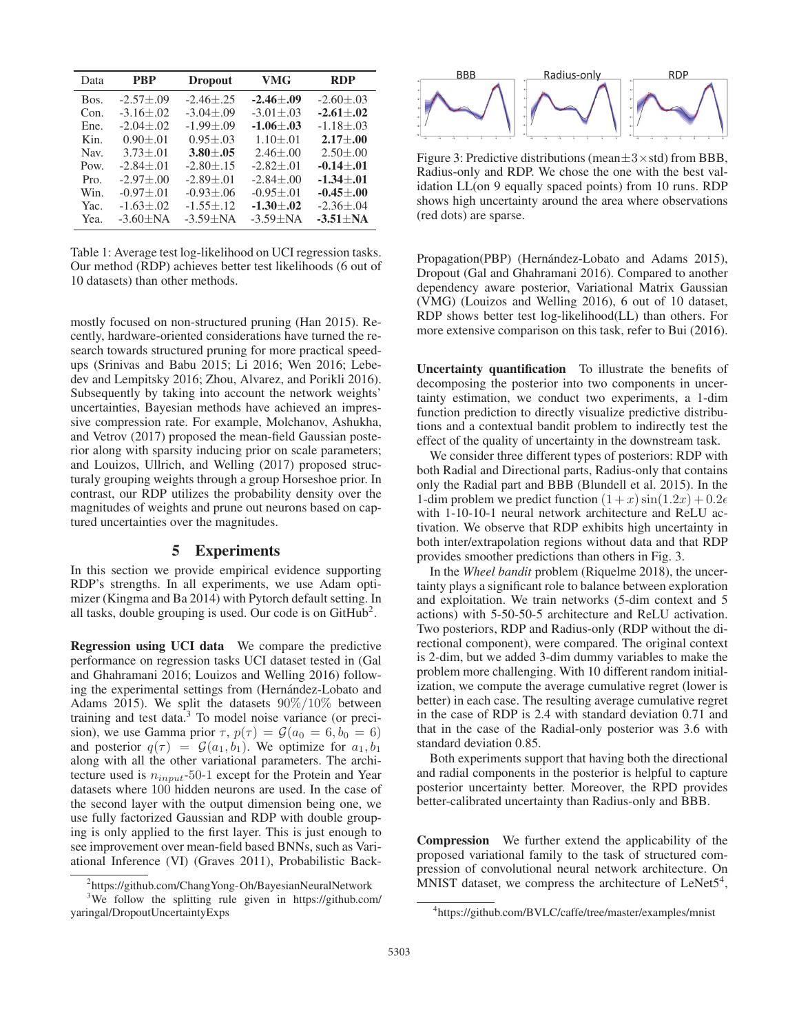| Data | <b>PBP</b>       | <b>Dropout</b>   | <b>VMG</b>       | <b>RDP</b>      |
|------|------------------|------------------|------------------|-----------------|
| Bos. | $-2.57 \pm 0.09$ | $-2.46 + .25$    | $-2.46 \pm 0.09$ | $-2.60 \pm .03$ |
| Con. | $-3.16 \pm .02$  | $-3.04 \pm 0.09$ | $-3.01 + .03$    | $-2.61 \pm .02$ |
| Ene. | $-2.04 + .02$    | $-1.99 + 0.09$   | $-1.06 + .03$    | $-1.18 \pm .03$ |
| Kin. | $0.90 + 0.01$    | $0.95 \pm 0.03$  | $1.10 + .01$     | $2.17 + .00$    |
| Nav. | $3.73 \pm .01$   | $3.80 \pm .05$   | $2.46 \pm 0.00$  | $2.50 \pm 0.00$ |
| Pow. | $-2.84 + .01$    | $-2.80 + 0.15$   | $-2.82 + 0.01$   | $-0.14 + 0.01$  |
| Pro. | $-2.97 + 0.00$   | $-2.89 + .01$    | $-2.84 \pm 0.00$ | $-1.34 + .01$   |
| Win. | $-0.97 + 0.01$   | $-0.93 \pm 0.06$ | $-0.95 + 0.01$   | $-0.45 + 0.00$  |
| Yac. | $-1.63 \pm .02$  | $-1.55 + 12$     | $-1.30 \pm .02$  | $-2.36 \pm .04$ |
| Yea. | $-3.60 + NA$     | $-3.59 + NA$     | $-3.59 + NA$     | $-3.51 + NA$    |

Table 1: Average test log-likelihood on UCI regression tasks. Our method (RDP) achieves better test likelihoods (6 out of 10 datasets) than other methods.

mostly focused on non-structured pruning (Han 2015). Recently, hardware-oriented considerations have turned the research towards structured pruning for more practical speedups (Srinivas and Babu 2015; Li 2016; Wen 2016; Lebedev and Lempitsky 2016; Zhou, Alvarez, and Porikli 2016). Subsequently by taking into account the network weights' uncertainties, Bayesian methods have achieved an impressive compression rate. For example, Molchanov, Ashukha, and Vetrov (2017) proposed the mean-field Gaussian posterior along with sparsity inducing prior on scale parameters; and Louizos, Ullrich, and Welling (2017) proposed structuraly grouping weights through a group Horseshoe prior. In contrast, our RDP utilizes the probability density over the magnitudes of weights and prune out neurons based on captured uncertainties over the magnitudes.

## 5 Experiments

In this section we provide empirical evidence supporting RDP's strengths. In all experiments, we use Adam optimizer (Kingma and Ba 2014) with Pytorch default setting. In all tasks, double grouping is used. Our code is on  $G$ itHub<sup>2</sup>.

Regression using UCI data We compare the predictive performance on regression tasks UCI dataset tested in (Gal and Ghahramani 2016; Louizos and Welling 2016) following the experimental settings from (Hernández-Lobato and Adams 2015). We split the datasets  $90\%/10\%$  between training and test data.<sup>3</sup> To model noise variance (or precision), we use Gamma prior  $\tau$ ,  $p(\tau) = \mathcal{G}(a_0 = 6, b_0 = 6)$ and posterior  $q(\tau) = \mathcal{G}(a_1, b_1)$ . We optimize for  $a_1, b_1$ along with all the other variational parameters. The architecture used is  $n_{input}$ -50-1 except for the Protein and Year datasets where 100 hidden neurons are used. In the case of the second layer with the output dimension being one, we use fully factorized Gaussian and RDP with double grouping is only applied to the first layer. This is just enough to see improvement over mean-field based BNNs, such as Variational Inference (VI) (Graves 2011), Probabilistic Back-



Figure 3: Predictive distributions (mean $\pm 3 \times$ std) from BBB, Radius-only and RDP. We chose the one with the best validation LL(on 9 equally spaced points) from 10 runs. RDP shows high uncertainty around the area where observations (red dots) are sparse.

Propagation(PBP) (Hernández-Lobato and Adams 2015), Dropout (Gal and Ghahramani 2016). Compared to another dependency aware posterior, Variational Matrix Gaussian (VMG) (Louizos and Welling 2016), 6 out of 10 dataset, RDP shows better test log-likelihood(LL) than others. For more extensive comparison on this task, refer to Bui (2016).

Uncertainty quantification To illustrate the benefits of decomposing the posterior into two components in uncertainty estimation, we conduct two experiments, a 1-dim function prediction to directly visualize predictive distributions and a contextual bandit problem to indirectly test the effect of the quality of uncertainty in the downstream task.

We consider three different types of posteriors: RDP with both Radial and Directional parts, Radius-only that contains only the Radial part and BBB (Blundell et al. 2015). In the 1-dim problem we predict function  $(1+x)\sin(1.2x)+0.2\epsilon$ with 1-10-10-1 neural network architecture and ReLU activation. We observe that RDP exhibits high uncertainty in both inter/extrapolation regions without data and that RDP provides smoother predictions than others in Fig. 3.

In the *Wheel bandit* problem (Riquelme 2018), the uncertainty plays a significant role to balance between exploration and exploitation. We train networks (5-dim context and 5 actions) with 5-50-50-5 architecture and ReLU activation. Two posteriors, RDP and Radius-only (RDP without the directional component), were compared. The original context is 2-dim, but we added 3-dim dummy variables to make the problem more challenging. With 10 different random initialization, we compute the average cumulative regret (lower is better) in each case. The resulting average cumulative regret in the case of RDP is 2.4 with standard deviation 0.71 and that in the case of the Radial-only posterior was 3.6 with standard deviation 0.85.

Both experiments support that having both the directional and radial components in the posterior is helpful to capture posterior uncertainty better. Moreover, the RPD provides better-calibrated uncertainty than Radius-only and BBB.

Compression We further extend the applicability of the proposed variational family to the task of structured compression of convolutional neural network architecture. On MNIST dataset, we compress the architecture of  $LeNet5<sup>4</sup>$ ,

<sup>&</sup>lt;sup>2</sup>https://github.com/ChangYong-Oh/BayesianNeuralNetwork

<sup>&</sup>lt;sup>3</sup>We follow the splitting rule given in https://github.com/ yaringal/DropoutUncertaintyExps

<sup>4</sup> https://github.com/BVLC/caffe/tree/master/examples/mnist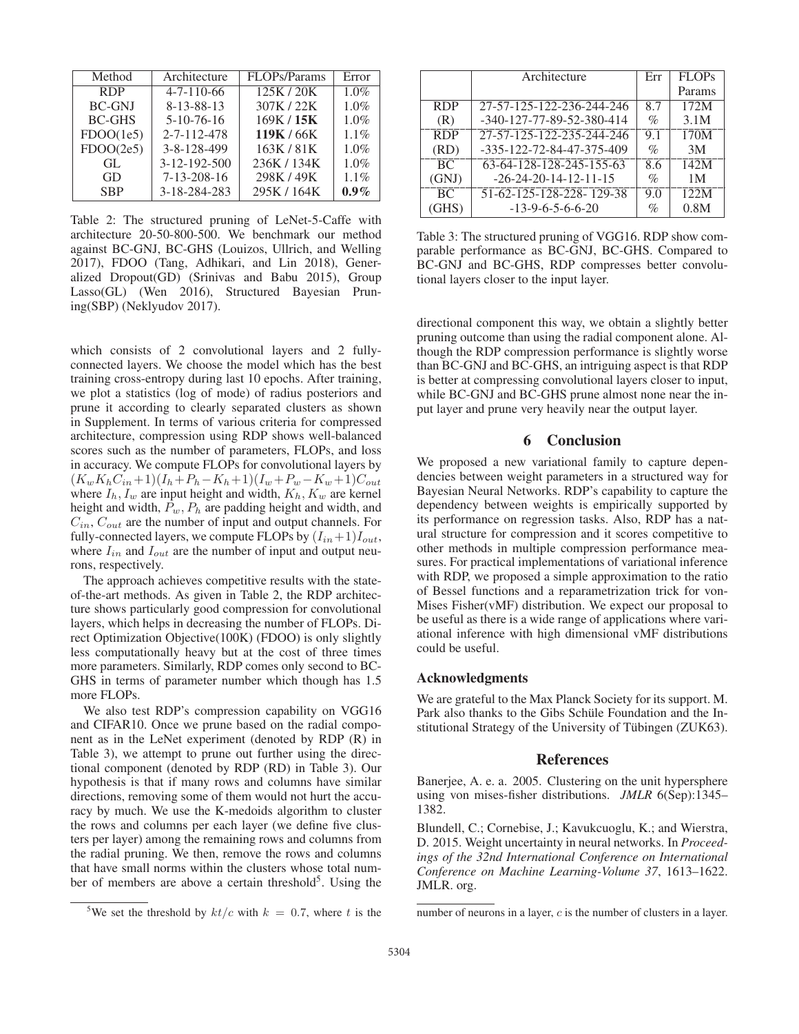| Method        | Architecture       | FLOPs/Params | Error   |
|---------------|--------------------|--------------|---------|
| <b>RDP</b>    | $4 - 7 - 110 - 66$ | 125K/20K     | 1.0%    |
| <b>BC-GNJ</b> | 8-13-88-13         | 307K / 22K   | 1.0%    |
| <b>BC-GHS</b> | $5-10-76-16$       | 169K / 15K   | 1.0%    |
| FDOO(1e5)     | 2-7-112-478        | 119K / 66K   | $1.1\%$ |
| FDOO(2e5)     | 3-8-128-499        | 163K/81K     | 1.0%    |
| GL            | 3-12-192-500       | 236K / 134K  | 1.0%    |
| GD            | $7-13-208-16$      | 298K/49K     | 1.1%    |
| <b>SBP</b>    | 3-18-284-283       | 295K / 164K  | $0.9\%$ |

Table 2: The structured pruning of LeNet-5-Caffe with architecture 20-50-800-500. We benchmark our method against BC-GNJ, BC-GHS (Louizos, Ullrich, and Welling 2017), FDOO (Tang, Adhikari, and Lin 2018), Generalized Dropout(GD) (Srinivas and Babu 2015), Group Lasso(GL) (Wen 2016), Structured Bayesian Pruning(SBP) (Neklyudov 2017).

which consists of 2 convolutional layers and 2 fullyconnected layers. We choose the model which has the best training cross-entropy during last 10 epochs. After training, we plot a statistics (log of mode) of radius posteriors and prune it according to clearly separated clusters as shown in Supplement. In terms of various criteria for compressed architecture, compression using RDP shows well-balanced scores such as the number of parameters, FLOPs, and loss in accuracy. We compute FLOPs for convolutional layers by  $(K_wK_hC_{in}+1)(I_h+P_h-K_h+1)(I_w+P_w-K_w+1)C_{out}$ where  $I_h$ ,  $I_w$  are input height and width,  $K_h$ ,  $K_w$  are kernel height and width,  $P_w$ ,  $P_h$  are padding height and width, and  $C_{in}$ ,  $C_{out}$  are the number of input and output channels. For fully-connected layers, we compute FLOPs by  $(I_{in}+1)I_{out}$ , where  $I_{in}$  and  $I_{out}$  are the number of input and output neurons, respectively.

The approach achieves competitive results with the stateof-the-art methods. As given in Table 2, the RDP architecture shows particularly good compression for convolutional layers, which helps in decreasing the number of FLOPs. Direct Optimization Objective(100K) (FDOO) is only slightly less computationally heavy but at the cost of three times more parameters. Similarly, RDP comes only second to BC-GHS in terms of parameter number which though has 1.5 more FLOPs.

We also test RDP's compression capability on VGG16 and CIFAR10. Once we prune based on the radial component as in the LeNet experiment (denoted by RDP (R) in Table 3), we attempt to prune out further using the directional component (denoted by RDP (RD) in Table 3). Our hypothesis is that if many rows and columns have similar directions, removing some of them would not hurt the accuracy by much. We use the K-medoids algorithm to cluster the rows and columns per each layer (we define five clusters per layer) among the remaining rows and columns from the radial pruning. We then, remove the rows and columns that have small norms within the clusters whose total number of members are above a certain threshold $5$ . Using the

|            | Architecture              | Err  | <b>FLOPs</b> |
|------------|---------------------------|------|--------------|
|            |                           |      | Params       |
| <b>RDP</b> | 27-57-125-122-236-244-246 | 8.7  | 172M         |
| (R)        | -340-127-77-89-52-380-414 | $\%$ | 3.1M         |
| <b>RDP</b> | 27-57-125-122-235-244-246 | 9.1  | 170M         |
| (RD)       | -335-122-72-84-47-375-409 | $\%$ | 3M           |
| <b>BC</b>  | 63-64-128-128-245-155-63  | 8.6  | 142M         |
| (GNJ)      | $-26-24-20-14-12-11-15$   | $\%$ | 1 M          |
| BC.        | 51-62-125-128-228-129-38  | 9.0  | 122M         |
| (GHS)      | $-13-9-6-5-6-6-20$        | %    | 0.8M         |

Table 3: The structured pruning of VGG16. RDP show comparable performance as BC-GNJ, BC-GHS. Compared to BC-GNJ and BC-GHS, RDP compresses better convolutional layers closer to the input layer.

directional component this way, we obtain a slightly better pruning outcome than using the radial component alone. Although the RDP compression performance is slightly worse than BC-GNJ and BC-GHS, an intriguing aspect is that RDP is better at compressing convolutional layers closer to input, while BC-GNJ and BC-GHS prune almost none near the input layer and prune very heavily near the output layer.

## 6 Conclusion

We proposed a new variational family to capture dependencies between weight parameters in a structured way for Bayesian Neural Networks. RDP's capability to capture the dependency between weights is empirically supported by its performance on regression tasks. Also, RDP has a natural structure for compression and it scores competitive to other methods in multiple compression performance measures. For practical implementations of variational inference with RDP, we proposed a simple approximation to the ratio of Bessel functions and a reparametrization trick for von-Mises Fisher(vMF) distribution. We expect our proposal to be useful as there is a wide range of applications where variational inference with high dimensional vMF distributions could be useful.

#### Acknowledgments

We are grateful to the Max Planck Society for its support. M. Park also thanks to the Gibs Schüle Foundation and the Institutional Strategy of the University of Tübingen (ZUK63).

## References

Banerjee, A. e. a. 2005. Clustering on the unit hypersphere using von mises-fisher distributions. *JMLR* 6(Sep):1345– 1382.

Blundell, C.; Cornebise, J.; Kavukcuoglu, K.; and Wierstra, D. 2015. Weight uncertainty in neural networks. In *Proceedings of the 32nd International Conference on International Conference on Machine Learning-Volume 37*, 1613–1622. JMLR. org.

<sup>&</sup>lt;sup>5</sup>We set the threshold by  $kt/c$  with  $k = 0.7$ , where t is the

number of neurons in a layer, c is the number of clusters in a layer.